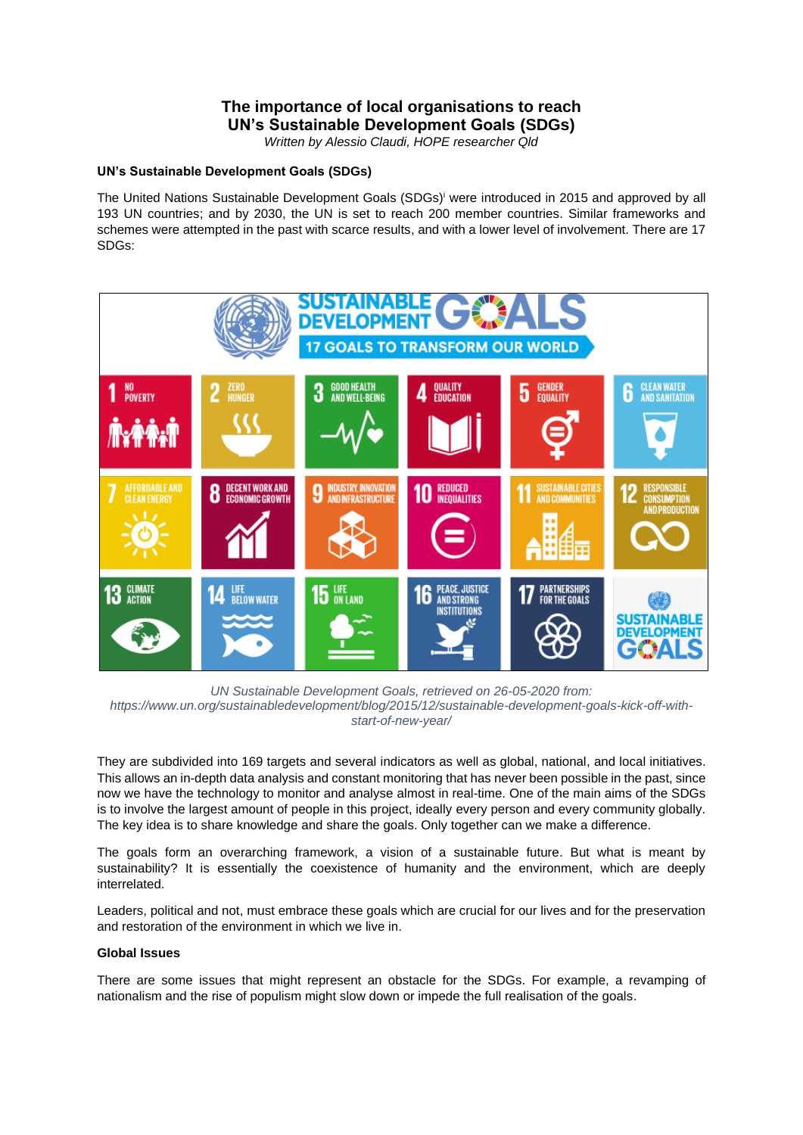# **The importance of local organisations to reach UN's Sustainable Development Goals (SDGs)**

*Written by Alessio Claudi, HOPE researcher Qld*

### **UN's Sustainable Development Goals (SDGs)**

The United Nations Sustainable Development Goals (SDGs)<sup>i</sup> were introduced in 2015 and approved by all 193 UN countries; and by 2030, the UN is set to reach 200 member countries. Similar frameworks and schemes were attempted in the past with scarce results, and with a lower level of involvement. There are 17 SDGs:



*UN Sustainable Development Goals, retrieved on 26-05-2020 from: https://www.un.org/sustainabledevelopment/blog/2015/12/sustainable-development-goals-kick-off-withstart-of-new-year/*

They are subdivided into 169 targets and several indicators as well as global, national, and local initiatives. This allows an in-depth data analysis and constant monitoring that has never been possible in the past, since now we have the technology to monitor and analyse almost in real-time. One of the main aims of the SDGs is to involve the largest amount of people in this project, ideally every person and every community globally. The key idea is to share knowledge and share the goals. Only together can we make a difference.

The goals form an overarching framework, a vision of a sustainable future. But what is meant by sustainability? It is essentially the coexistence of humanity and the environment, which are deeply interrelated.

Leaders, political and not, must embrace these goals which are crucial for our lives and for the preservation and restoration of the environment in which we live in.

#### **Global Issues**

There are some issues that might represent an obstacle for the SDGs. For example, a revamping of nationalism and the rise of populism might slow down or impede the full realisation of the goals.